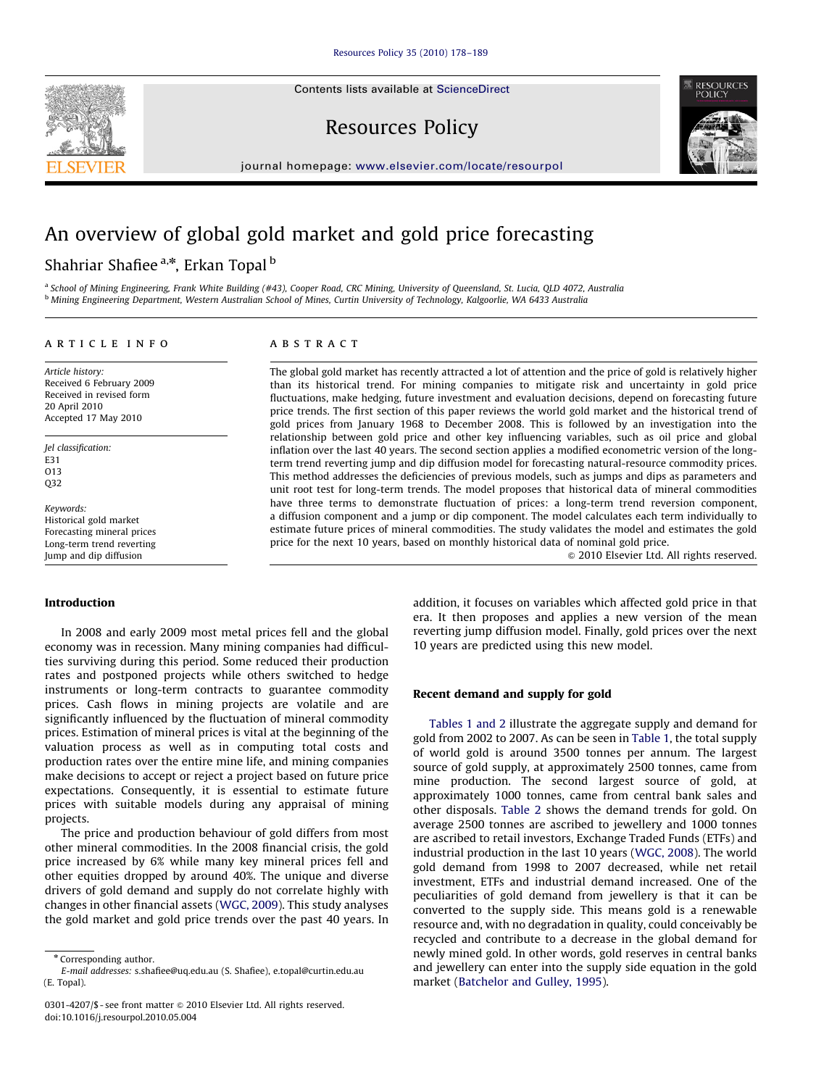Contents lists available at ScienceDirect







journal homepage: <www.elsevier.com/locate/resourpol>

# An overview of global gold market and gold price forecasting

## Shahriar Shafiee <sup>a,\*</sup>, Erkan Topal <sup>b</sup>

a School of Mining Engineering, Frank White Building (#43), Cooper Road, CRC Mining, University of Queensland, St. Lucia, QLD 4072, Australia <sup>b</sup> Mining Engineering Department, Western Australian School of Mines, Curtin University of Technology, Kalgoorlie, WA 6433 Australia

#### article info

Article history: Received 6 February 2009 Received in revised form 20 April 2010 Accepted 17 May 2010

Jel classification: E31 O13  $O32$ 

Keywords: Historical gold market Forecasting mineral prices Long-term trend reverting Jump and dip diffusion

## Introduction

In 2008 and early 2009 most metal prices fell and the global economy was in recession. Many mining companies had difficulties surviving during this period. Some reduced their production rates and postponed projects while others switched to hedge instruments or long-term contracts to guarantee commodity prices. Cash flows in mining projects are volatile and are significantly influenced by the fluctuation of mineral commodity prices. Estimation of mineral prices is vital at the beginning of the valuation process as well as in computing total costs and production rates over the entire mine life, and mining companies make decisions to accept or reject a project based on future price expectations. Consequently, it is essential to estimate future prices with suitable models during any appraisal of mining projects.

The price and production behaviour of gold differs from most other mineral commodities. In the 2008 financial crisis, the gold price increased by 6% while many key mineral prices fell and other equities dropped by around 40%. The unique and diverse drivers of gold demand and supply do not correlate highly with changes in other financial assets [\(WGC, 2009](#page-11-0)). This study analyses the gold market and gold price trends over the past 40 years. In

## **ABSTRACT**

The global gold market has recently attracted a lot of attention and the price of gold is relatively higher than its historical trend. For mining companies to mitigate risk and uncertainty in gold price fluctuations, make hedging, future investment and evaluation decisions, depend on forecasting future price trends. The first section of this paper reviews the world gold market and the historical trend of gold prices from January 1968 to December 2008. This is followed by an investigation into the relationship between gold price and other key influencing variables, such as oil price and global inflation over the last 40 years. The second section applies a modified econometric version of the longterm trend reverting jump and dip diffusion model for forecasting natural-resource commodity prices. This method addresses the deficiencies of previous models, such as jumps and dips as parameters and unit root test for long-term trends. The model proposes that historical data of mineral commodities have three terms to demonstrate fluctuation of prices: a long-term trend reversion component, a diffusion component and a jump or dip component. The model calculates each term individually to estimate future prices of mineral commodities. The study validates the model and estimates the gold price for the next 10 years, based on monthly historical data of nominal gold price.

 $\odot$  2010 Elsevier Ltd. All rights reserved.

addition, it focuses on variables which affected gold price in that era. It then proposes and applies a new version of the mean reverting jump diffusion model. Finally, gold prices over the next 10 years are predicted using this new model.

## Recent demand and supply for gold

[Tables 1 and 2](#page-1-0) illustrate the aggregate supply and demand for gold from 2002 to 2007. As can be seen in [Table 1](#page-1-0), the total supply of world gold is around 3500 tonnes per annum. The largest source of gold supply, at approximately 2500 tonnes, came from mine production. The second largest source of gold, at approximately 1000 tonnes, came from central bank sales and other disposals. [Table 2](#page-1-0) shows the demand trends for gold. On average 2500 tonnes are ascribed to jewellery and 1000 tonnes are ascribed to retail investors, Exchange Traded Funds (ETFs) and industrial production in the last 10 years ([WGC, 2008\)](#page-11-0). The world gold demand from 1998 to 2007 decreased, while net retail investment, ETFs and industrial demand increased. One of the peculiarities of gold demand from jewellery is that it can be converted to the supply side. This means gold is a renewable resource and, with no degradation in quality, could conceivably be recycled and contribute to a decrease in the global demand for newly mined gold. In other words, gold reserves in central banks and jewellery can enter into the supply side equation in the gold market ([Batchelor and Gulley, 1995\)](#page-10-0).

<sup>\*</sup> Corresponding author. E-mail addresses: [s.shafiee@uq.edu.au \(S. Shafiee\),](mailto:s.shafiee@uq.edu.au) [e.topal@curtin.edu.au](mailto:e.topal@curtin.edu.au) [\(E. Topal\)](mailto:e.topal@curtin.edu.au).

<sup>0301-4207/\$ -</sup> see front matter  $\odot$  2010 Elsevier Ltd. All rights reserved. doi:[10.1016/j.resourpol.2010.05.004](dx.doi.org/10.1016/j.resourpol.2010.05.004)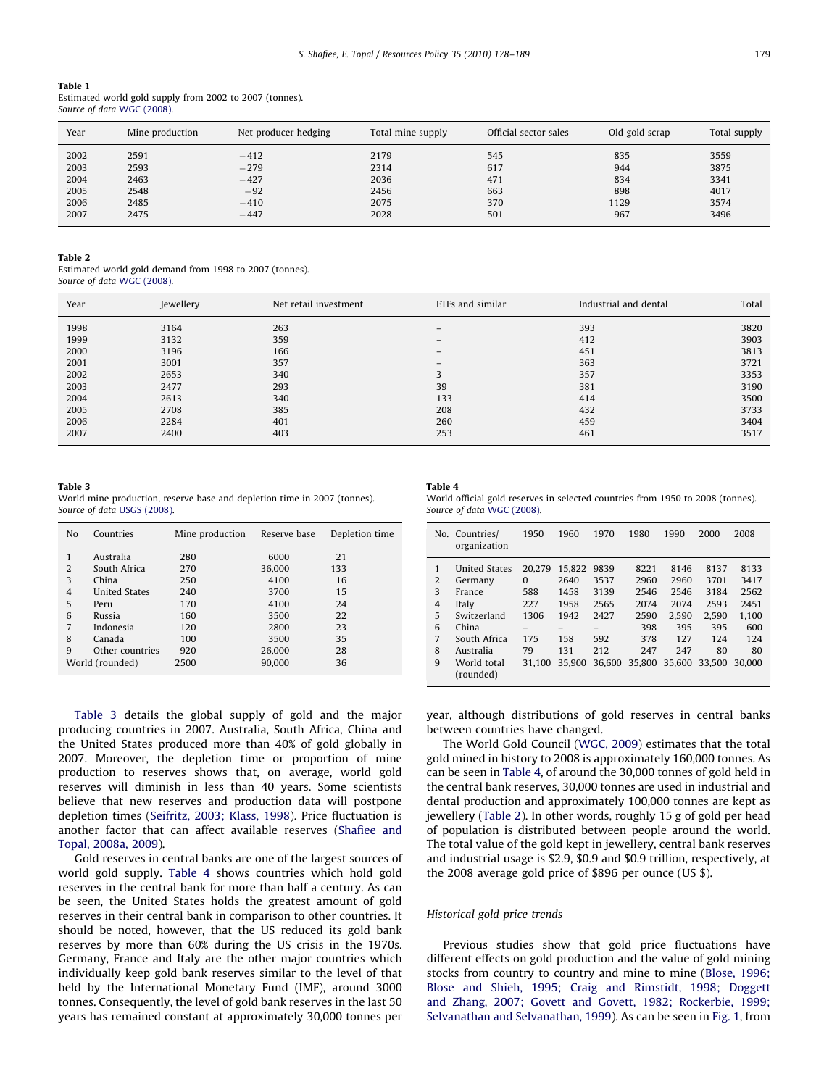<span id="page-1-0"></span>Estimated world gold supply from 2002 to 2007 (tonnes). Source of data [WGC \(2008\)](#page-11-0).

| Year | Mine production | Net producer hedging | Total mine supply | Official sector sales | Old gold scrap | Total supply |
|------|-----------------|----------------------|-------------------|-----------------------|----------------|--------------|
| 2002 | 2591            | $-412$               | 2179              | 545                   | 835            | 3559         |
| 2003 | 2593            | $-279$               | 2314              | 617                   | 944            | 3875         |
| 2004 | 2463            | $-427$               | 2036              | 471                   | 834            | 3341         |
| 2005 | 2548            | $-92$                | 2456              | 663                   | 898            | 4017         |
| 2006 | 2485            | $-410$               | 2075              | 370                   | 1129           | 3574         |
| 2007 | 2475            | $-447$               | 2028              | 501                   | 967            | 3496         |

#### Table 2

Estimated world gold demand from 1998 to 2007 (tonnes). Source of data [WGC \(2008\)](#page-11-0).

| Year | Jewellery | Net retail investment | ETFs and similar         | Industrial and dental | Total |
|------|-----------|-----------------------|--------------------------|-----------------------|-------|
| 1998 | 3164      | 263                   | -                        | 393                   | 3820  |
| 1999 | 3132      | 359                   | -                        | 412                   | 3903  |
| 2000 | 3196      | 166                   | $\overline{\phantom{a}}$ | 451                   | 3813  |
| 2001 | 3001      | 357                   | -                        | 363                   | 3721  |
| 2002 | 2653      | 340                   | 3                        | 357                   | 3353  |
| 2003 | 2477      | 293                   | 39                       | 381                   | 3190  |
| 2004 | 2613      | 340                   | 133                      | 414                   | 3500  |
| 2005 | 2708      | 385                   | 208                      | 432                   | 3733  |
| 2006 | 2284      | 401                   | 260                      | 459                   | 3404  |
| 2007 | 2400      | 403                   | 253                      | 461                   | 3517  |

#### Table 3

World mine production, reserve base and depletion time in 2007 (tonnes). Source of data [USGS \(2008\).](#page-11-0)

| No             | Countries            | Mine production | Reserve base | Depletion time |
|----------------|----------------------|-----------------|--------------|----------------|
|                | Australia            | 280             | 6000         | 21             |
| $\overline{2}$ | South Africa         | 270             | 36,000       | 133            |
| 3              | China                | 250             | 4100         | 16             |
| $\overline{4}$ | <b>United States</b> | 240             | 3700         | 15             |
| 5              | Peru                 | 170             | 4100         | 24             |
| 6              | Russia               | 160             | 3500         | 22             |
| 7              | Indonesia            | 120             | 2800         | 23             |
| 8              | Canada               | 100             | 3500         | 35             |
| 9              | Other countries      | 920             | 26,000       | 28             |
|                | World (rounded)      | 2500            | 90,000       | 36             |

Table 4

World official gold reserves in selected countries from 1950 to 2008 (tonnes). Source of data [WGC \(2008\)](#page-11-0).

|                | No. Countries/<br>organization | 1950   | 1960   | 1970   | 1980   | 1990   | 2000   | 2008   |
|----------------|--------------------------------|--------|--------|--------|--------|--------|--------|--------|
| 1              | United States                  | 20.279 | 15.822 | 9839   | 8221   | 8146   | 8137   | 8133   |
| 2              | Germany                        | 0      | 2640   | 3537   | 2960   | 2960   | 3701   | 3417   |
| 3              | France                         | 588    | 1458   | 3139   | 2546   | 2546   | 3184   | 2562   |
| $\overline{4}$ | Italy                          | 227    | 1958   | 2565   | 2074   | 2074   | 2593   | 2451   |
| 5              | Switzerland                    | 1306   | 1942   | 2427   | 2590   | 2.590  | 2.590  | 1,100  |
| 6              | China                          |        |        |        | 398    | 395    | 395    | 600    |
| 7              | South Africa                   | 175    | 158    | 592    | 378    | 127    | 124    | 124    |
| 8              | Australia                      | 79     | 131    | 212    | 247    | 247    | 80     | 80     |
| 9              | World total<br>(rounded)       | 31.100 | 35,900 | 36,600 | 35,800 | 35,600 | 33.500 | 30.000 |

Table 3 details the global supply of gold and the major producing countries in 2007. Australia, South Africa, China and the United States produced more than 40% of gold globally in 2007. Moreover, the depletion time or proportion of mine production to reserves shows that, on average, world gold reserves will diminish in less than 40 years. Some scientists believe that new reserves and production data will postpone depletion times ([Seifritz, 2003; Klass, 1998\)](#page-10-0). Price fluctuation is another factor that can affect available reserves [\(Shafiee and](#page-10-0) [Topal, 2008a, 2009](#page-10-0)).

Gold reserves in central banks are one of the largest sources of world gold supply. Table 4 shows countries which hold gold reserves in the central bank for more than half a century. As can be seen, the United States holds the greatest amount of gold reserves in their central bank in comparison to other countries. It should be noted, however, that the US reduced its gold bank reserves by more than 60% during the US crisis in the 1970s. Germany, France and Italy are the other major countries which individually keep gold bank reserves similar to the level of that held by the International Monetary Fund (IMF), around 3000 tonnes. Consequently, the level of gold bank reserves in the last 50 years has remained constant at approximately 30,000 tonnes per

year, although distributions of gold reserves in central banks between countries have changed.

The World Gold Council [\(WGC, 2009\)](#page-11-0) estimates that the total gold mined in history to 2008 is approximately 160,000 tonnes. As can be seen in Table 4, of around the 30,000 tonnes of gold held in the central bank reserves, 30,000 tonnes are used in industrial and dental production and approximately 100,000 tonnes are kept as jewellery (Table 2). In other words, roughly 15 g of gold per head of population is distributed between people around the world. The total value of the gold kept in jewellery, central bank reserves and industrial usage is \$2.9, \$0.9 and \$0.9 trillion, respectively, at the 2008 average gold price of \$896 per ounce (US \$).

## Historical gold price trends

Previous studies show that gold price fluctuations have different effects on gold production and the value of gold mining stocks from country to country and mine to mine ([Blose, 1996;](#page-10-0) [Blose and Shieh, 1995; Craig and Rimstidt, 1998; Doggett](#page-10-0) [and Zhang, 2007; Govett and Govett, 1982; Rockerbie, 1999;](#page-10-0) [Selvanathan and Selvanathan, 1999](#page-10-0)). As can be seen in [Fig. 1](#page-2-0), from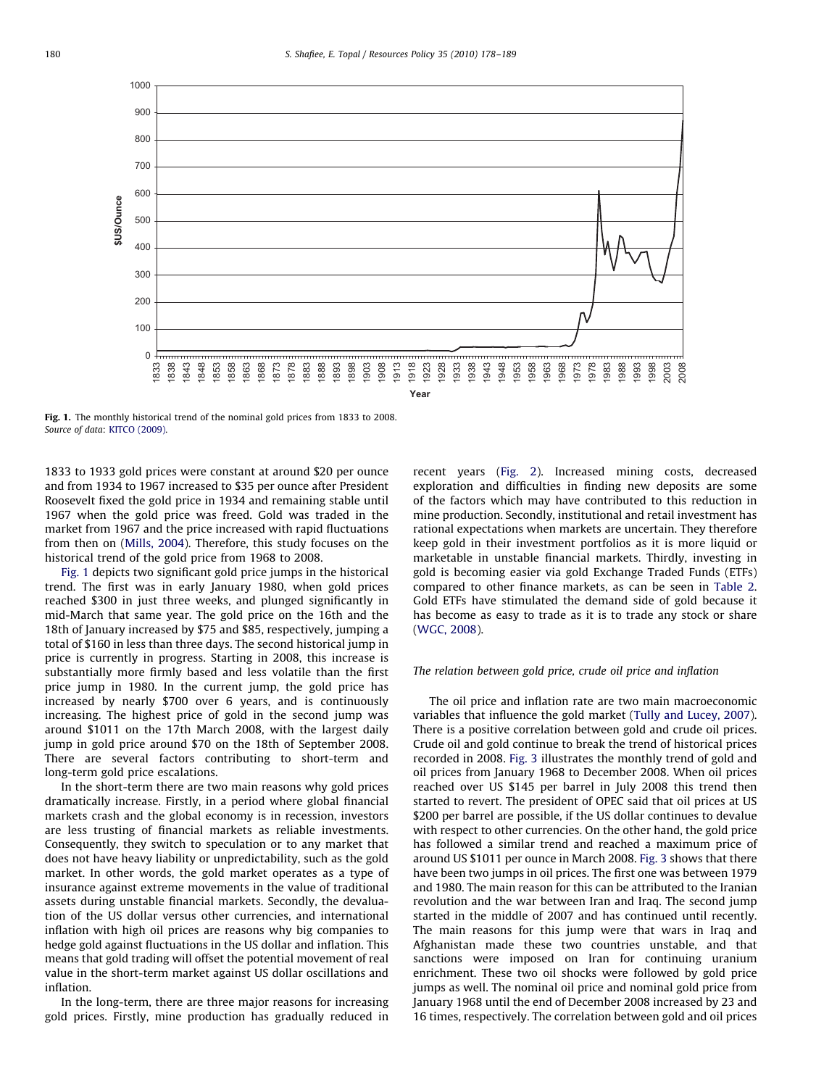Fig. 1. The monthly historical trend of the nominal gold prices from 1833 to 2008. Source of data: [KITCO \(2009\).](#page-10-0)

1833 to 1933 gold prices were constant at around \$20 per ounce and from 1934 to 1967 increased to \$35 per ounce after President Roosevelt fixed the gold price in 1934 and remaining stable until 1967 when the gold price was freed. Gold was traded in the market from 1967 and the price increased with rapid fluctuations from then on [\(Mills, 2004\)](#page-10-0). Therefore, this study focuses on the historical trend of the gold price from 1968 to 2008.

Fig. 1 depicts two significant gold price jumps in the historical trend. The first was in early January 1980, when gold prices reached \$300 in just three weeks, and plunged significantly in mid-March that same year. The gold price on the 16th and the 18th of January increased by \$75 and \$85, respectively, jumping a total of \$160 in less than three days. The second historical jump in price is currently in progress. Starting in 2008, this increase is substantially more firmly based and less volatile than the first price jump in 1980. In the current jump, the gold price has increased by nearly \$700 over 6 years, and is continuously increasing. The highest price of gold in the second jump was around \$1011 on the 17th March 2008, with the largest daily jump in gold price around \$70 on the 18th of September 2008. There are several factors contributing to short-term and long-term gold price escalations.

In the short-term there are two main reasons why gold prices dramatically increase. Firstly, in a period where global financial markets crash and the global economy is in recession, investors are less trusting of financial markets as reliable investments. Consequently, they switch to speculation or to any market that does not have heavy liability or unpredictability, such as the gold market. In other words, the gold market operates as a type of insurance against extreme movements in the value of traditional assets during unstable financial markets. Secondly, the devaluation of the US dollar versus other currencies, and international inflation with high oil prices are reasons why big companies to hedge gold against fluctuations in the US dollar and inflation. This means that gold trading will offset the potential movement of real value in the short-term market against US dollar oscillations and inflation.

In the long-term, there are three major reasons for increasing gold prices. Firstly, mine production has gradually reduced in recent years ([Fig. 2\)](#page-3-0). Increased mining costs, decreased exploration and difficulties in finding new deposits are some of the factors which may have contributed to this reduction in mine production. Secondly, institutional and retail investment has rational expectations when markets are uncertain. They therefore keep gold in their investment portfolios as it is more liquid or marketable in unstable financial markets. Thirdly, investing in gold is becoming easier via gold Exchange Traded Funds (ETFs) compared to other finance markets, as can be seen in [Table 2.](#page-1-0) Gold ETFs have stimulated the demand side of gold because it has become as easy to trade as it is to trade any stock or share ([WGC, 2008](#page-11-0)).

#### The relation between gold price, crude oil price and inflation

The oil price and inflation rate are two main macroeconomic variables that influence the gold market ([Tully and Lucey, 2007\)](#page-11-0). There is a positive correlation between gold and crude oil prices. Crude oil and gold continue to break the trend of historical prices recorded in 2008. [Fig. 3](#page-3-0) illustrates the monthly trend of gold and oil prices from January 1968 to December 2008. When oil prices reached over US \$145 per barrel in July 2008 this trend then started to revert. The president of OPEC said that oil prices at US \$200 per barrel are possible, if the US dollar continues to devalue with respect to other currencies. On the other hand, the gold price has followed a similar trend and reached a maximum price of around US \$1011 per ounce in March 2008. [Fig. 3](#page-3-0) shows that there have been two jumps in oil prices. The first one was between 1979 and 1980. The main reason for this can be attributed to the Iranian revolution and the war between Iran and Iraq. The second jump started in the middle of 2007 and has continued until recently. The main reasons for this jump were that wars in Iraq and Afghanistan made these two countries unstable, and that sanctions were imposed on Iran for continuing uranium enrichment. These two oil shocks were followed by gold price jumps as well. The nominal oil price and nominal gold price from January 1968 until the end of December 2008 increased by 23 and 16 times, respectively. The correlation between gold and oil prices

<span id="page-2-0"></span>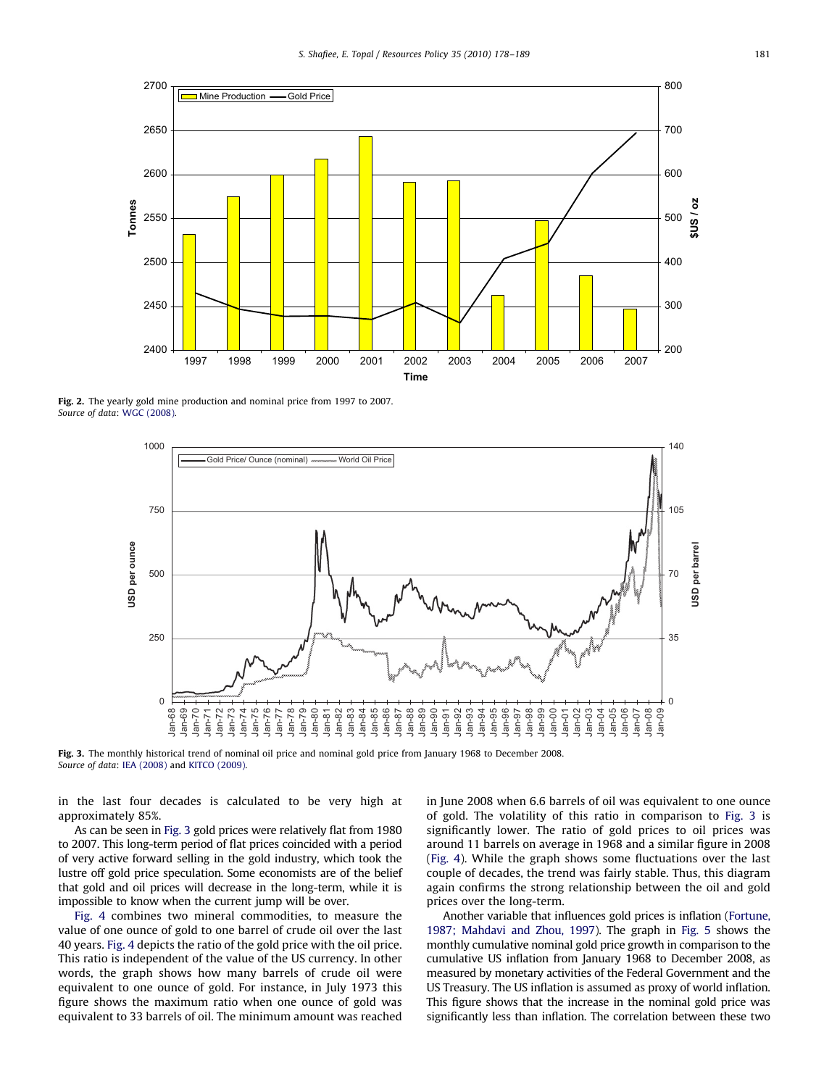<span id="page-3-0"></span>

Fig. 2. The yearly gold mine production and nominal price from 1997 to 2007. Source of data: [WGC \(2008\)](#page-11-0).



Fig. 3. The monthly historical trend of nominal oil price and nominal gold price from January 1968 to December 2008. Source of data: [IEA \(2008\)](#page-10-0) and [KITCO \(2009\)](#page-10-0).

in the last four decades is calculated to be very high at approximately 85%.

As can be seen in Fig. 3 gold prices were relatively flat from 1980 to 2007. This long-term period of flat prices coincided with a period of very active forward selling in the gold industry, which took the lustre off gold price speculation. Some economists are of the belief that gold and oil prices will decrease in the long-term, while it is impossible to know when the current jump will be over.

[Fig. 4](#page-4-0) combines two mineral commodities, to measure the value of one ounce of gold to one barrel of crude oil over the last 40 years. [Fig. 4](#page-4-0) depicts the ratio of the gold price with the oil price. This ratio is independent of the value of the US currency. In other words, the graph shows how many barrels of crude oil were equivalent to one ounce of gold. For instance, in July 1973 this figure shows the maximum ratio when one ounce of gold was equivalent to 33 barrels of oil. The minimum amount was reached in June 2008 when 6.6 barrels of oil was equivalent to one ounce of gold. The volatility of this ratio in comparison to Fig. 3 is significantly lower. The ratio of gold prices to oil prices was around 11 barrels on average in 1968 and a similar figure in 2008 ([Fig. 4](#page-4-0)). While the graph shows some fluctuations over the last couple of decades, the trend was fairly stable. Thus, this diagram again confirms the strong relationship between the oil and gold prices over the long-term.

Another variable that influences gold prices is inflation [\(Fortune,](#page-10-0) [1987; Mahdavi and Zhou, 1997](#page-10-0)). The graph in [Fig. 5](#page-4-0) shows the monthly cumulative nominal gold price growth in comparison to the cumulative US inflation from January 1968 to December 2008, as measured by monetary activities of the Federal Government and the US Treasury. The US inflation is assumed as proxy of world inflation. This figure shows that the increase in the nominal gold price was significantly less than inflation. The correlation between these two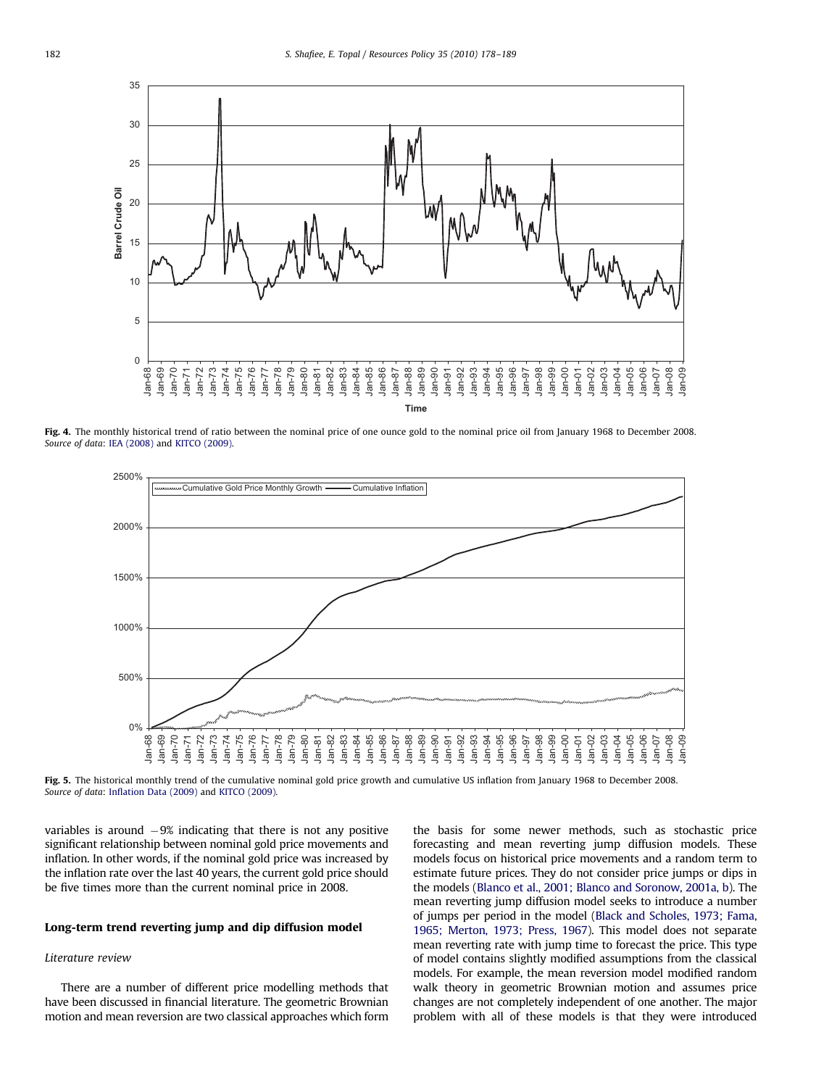<span id="page-4-0"></span>

Fig. 4. The monthly historical trend of ratio between the nominal price of one ounce gold to the nominal price oil from January 1968 to December 2008. Source of data: [IEA \(2008\)](#page-10-0) and [KITCO \(2009\)](#page-10-0).



Fig. 5. The historical monthly trend of the cumulative nominal gold price growth and cumulative US inflation from January 1968 to December 2008. Source of data: [Inflation Data \(2009\)](#page-10-0) and [KITCO \(2009\)](#page-10-0).

variables is around  $-9\%$  indicating that there is not any positive significant relationship between nominal gold price movements and inflation. In other words, if the nominal gold price was increased by the inflation rate over the last 40 years, the current gold price should be five times more than the current nominal price in 2008.

## Long-term trend reverting jump and dip diffusion model

## Literature review

There are a number of different price modelling methods that have been discussed in financial literature. The geometric Brownian motion and mean reversion are two classical approaches which form the basis for some newer methods, such as stochastic price forecasting and mean reverting jump diffusion models. These models focus on historical price movements and a random term to estimate future prices. They do not consider price jumps or dips in the models [\(Blanco et al., 2001; Blanco and Soronow, 2001a, b](#page-10-0)). The mean reverting jump diffusion model seeks to introduce a number of jumps per period in the model ([Black and Scholes, 1973; Fama,](#page-10-0) [1965; Merton, 1973; Press, 1967\)](#page-10-0). This model does not separate mean reverting rate with jump time to forecast the price. This type of model contains slightly modified assumptions from the classical models. For example, the mean reversion model modified random walk theory in geometric Brownian motion and assumes price changes are not completely independent of one another. The major problem with all of these models is that they were introduced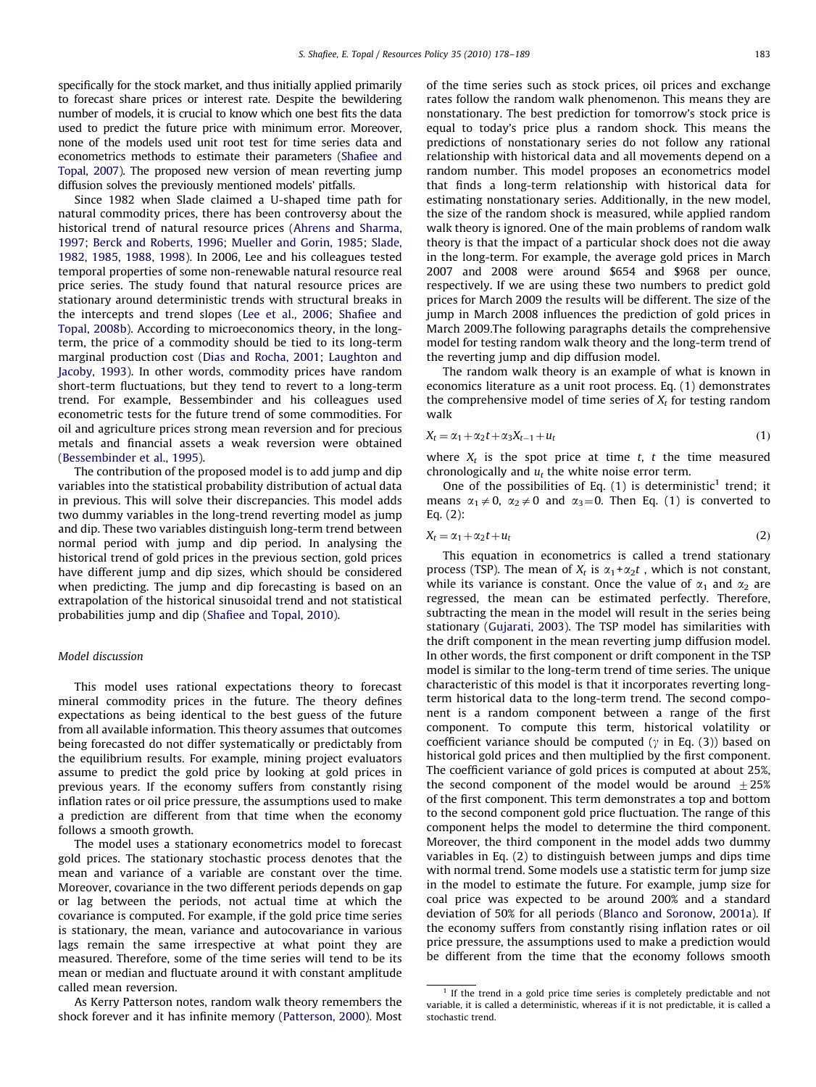specifically for the stock market, and thus initially applied primarily to forecast share prices or interest rate. Despite the bewildering number of models, it is crucial to know which one best fits the data used to predict the future price with minimum error. Moreover, none of the models used unit root test for time series data and econometrics methods to estimate their parameters [\(Shafiee and](#page-10-0) [Topal, 2007\)](#page-10-0). The proposed new version of mean reverting jump diffusion solves the previously mentioned models' pitfalls.

Since 1982 when Slade claimed a U-shaped time path for natural commodity prices, there has been controversy about the historical trend of natural resource prices [\(Ahrens and Sharma,](#page-10-0) [1997; Berck and Roberts, 1996; Mueller and Gorin, 1985; Slade,](#page-10-0) [1982, 1985, 1988, 1998](#page-10-0)). In 2006, Lee and his colleagues tested temporal properties of some non-renewable natural resource real price series. The study found that natural resource prices are stationary around deterministic trends with structural breaks in the intercepts and trend slopes [\(Lee et al., 2006; Shafiee and](#page-10-0) [Topal, 2008b](#page-10-0)). According to microeconomics theory, in the longterm, the price of a commodity should be tied to its long-term marginal production cost [\(Dias and Rocha, 2001; Laughton and](#page-10-0) [Jacoby, 1993\)](#page-10-0). In other words, commodity prices have random short-term fluctuations, but they tend to revert to a long-term trend. For example, Bessembinder and his colleagues used econometric tests for the future trend of some commodities. For oil and agriculture prices strong mean reversion and for precious metals and financial assets a weak reversion were obtained ([Bessembinder et al., 1995\)](#page-10-0).

The contribution of the proposed model is to add jump and dip variables into the statistical probability distribution of actual data in previous. This will solve their discrepancies. This model adds two dummy variables in the long-trend reverting model as jump and dip. These two variables distinguish long-term trend between normal period with jump and dip period. In analysing the historical trend of gold prices in the previous section, gold prices have different jump and dip sizes, which should be considered when predicting. The jump and dip forecasting is based on an extrapolation of the historical sinusoidal trend and not statistical probabilities jump and dip [\(Shafiee and Topal, 2010](#page-10-0)).

### Model discussion

This model uses rational expectations theory to forecast mineral commodity prices in the future. The theory defines expectations as being identical to the best guess of the future from all available information. This theory assumes that outcomes being forecasted do not differ systematically or predictably from the equilibrium results. For example, mining project evaluators assume to predict the gold price by looking at gold prices in previous years. If the economy suffers from constantly rising inflation rates or oil price pressure, the assumptions used to make a prediction are different from that time when the economy follows a smooth growth.

The model uses a stationary econometrics model to forecast gold prices. The stationary stochastic process denotes that the mean and variance of a variable are constant over the time. Moreover, covariance in the two different periods depends on gap or lag between the periods, not actual time at which the covariance is computed. For example, if the gold price time series is stationary, the mean, variance and autocovariance in various lags remain the same irrespective at what point they are measured. Therefore, some of the time series will tend to be its mean or median and fluctuate around it with constant amplitude called mean reversion.

As Kerry Patterson notes, random walk theory remembers the shock forever and it has infinite memory ([Patterson, 2000\)](#page-10-0). Most of the time series such as stock prices, oil prices and exchange rates follow the random walk phenomenon. This means they are nonstationary. The best prediction for tomorrow's stock price is equal to today's price plus a random shock. This means the predictions of nonstationary series do not follow any rational relationship with historical data and all movements depend on a random number. This model proposes an econometrics model that finds a long-term relationship with historical data for estimating nonstationary series. Additionally, in the new model, the size of the random shock is measured, while applied random walk theory is ignored. One of the main problems of random walk theory is that the impact of a particular shock does not die away in the long-term. For example, the average gold prices in March 2007 and 2008 were around \$654 and \$968 per ounce, respectively. If we are using these two numbers to predict gold prices for March 2009 the results will be different. The size of the jump in March 2008 influences the prediction of gold prices in March 2009.The following paragraphs details the comprehensive model for testing random walk theory and the long-term trend of the reverting jump and dip diffusion model.

The random walk theory is an example of what is known in economics literature as a unit root process. Eq. (1) demonstrates the comprehensive model of time series of  $X_t$  for testing random walk

$$
X_t = \alpha_1 + \alpha_2 t + \alpha_3 X_{t-1} + u_t \tag{1}
$$

where  $X_t$  is the spot price at time  $t$ ,  $t$  the time measured chronologically and  $u_t$  the white noise error term.

One of the possibilities of Eq.  $(1)$  is deterministic<sup>1</sup> trend; it means  $\alpha_1 \neq 0$ ,  $\alpha_2 \neq 0$  and  $\alpha_3 = 0$ . Then Eq. (1) is converted to Eq. (2):

$$
X_t = \alpha_1 + \alpha_2 t + u_t \tag{2}
$$

This equation in econometrics is called a trend stationary process (TSP). The mean of  $X_t$  is  $\alpha_1 + \alpha_2 t$ , which is not constant, while its variance is constant. Once the value of  $\alpha_1$  and  $\alpha_2$  are regressed, the mean can be estimated perfectly. Therefore, subtracting the mean in the model will result in the series being stationary ([Gujarati, 2003](#page-10-0)). The TSP model has similarities with the drift component in the mean reverting jump diffusion model. In other words, the first component or drift component in the TSP model is similar to the long-term trend of time series. The unique characteristic of this model is that it incorporates reverting longterm historical data to the long-term trend. The second component is a random component between a range of the first component. To compute this term, historical volatility or coefficient variance should be computed ( $\gamma$  in Eq. (3)) based on historical gold prices and then multiplied by the first component. The coefficient variance of gold prices is computed at about 25%, the second component of the model would be around  $\pm 25\%$ of the first component. This term demonstrates a top and bottom to the second component gold price fluctuation. The range of this component helps the model to determine the third component. Moreover, the third component in the model adds two dummy variables in Eq. (2) to distinguish between jumps and dips time with normal trend. Some models use a statistic term for jump size in the model to estimate the future. For example, jump size for coal price was expected to be around 200% and a standard deviation of 50% for all periods ([Blanco and Soronow, 2001a\)](#page-10-0). If the economy suffers from constantly rising inflation rates or oil price pressure, the assumptions used to make a prediction would be different from the time that the economy follows smooth

If the trend in a gold price time series is completely predictable and not variable, it is called a deterministic, whereas if it is not predictable, it is called a stochastic trend.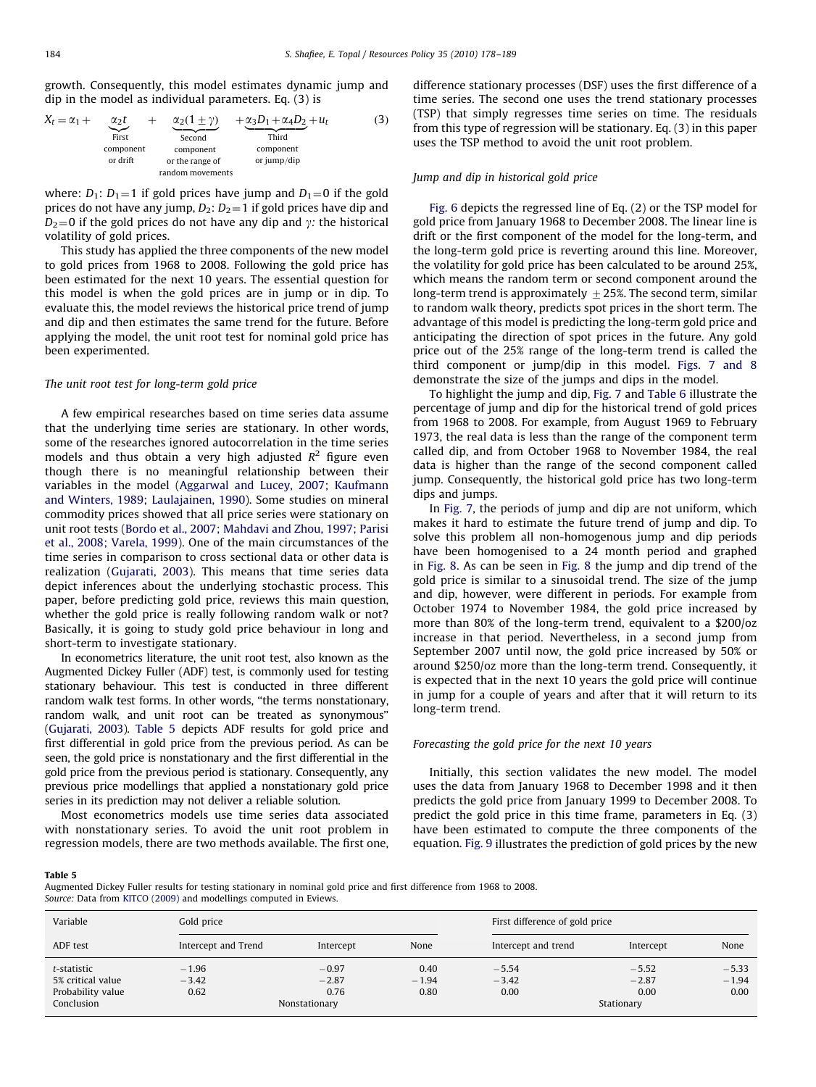growth. Consequently, this model estimates dynamic jump and dip in the model as individual parameters. Eq. (3) is

$$
X_{t} = \alpha_{1} + \underbrace{\alpha_{2}t}_{\text{First}} + \underbrace{\alpha_{2}(1 \pm \gamma)}_{\text{Second component}} + \underbrace{\alpha_{3}D_{1} + \alpha_{4}D_{2}}_{\text{Third}} + u_{t}
$$
(3)  
component component component component or dirift or the range of  
random movements

where:  $D_1$ :  $D_1$  = 1 if gold prices have jump and  $D_1$  = 0 if the gold prices do not have any jump,  $D_2$ :  $D_2$  = 1 if gold prices have dip and  $D_2=0$  if the gold prices do not have any dip and  $\gamma$ : the historical volatility of gold prices.

This study has applied the three components of the new model to gold prices from 1968 to 2008. Following the gold price has been estimated for the next 10 years. The essential question for this model is when the gold prices are in jump or in dip. To evaluate this, the model reviews the historical price trend of jump and dip and then estimates the same trend for the future. Before applying the model, the unit root test for nominal gold price has been experimented.

#### The unit root test for long-term gold price

A few empirical researches based on time series data assume that the underlying time series are stationary. In other words, some of the researches ignored autocorrelation in the time series models and thus obtain a very high adjusted  $R^2$  figure even though there is no meaningful relationship between their variables in the model [\(Aggarwal and Lucey, 2007; Kaufmann](#page-10-0) [and Winters, 1989; Laulajainen, 1990\)](#page-10-0). Some studies on mineral commodity prices showed that all price series were stationary on unit root tests ([Bordo et al., 2007; Mahdavi and Zhou, 1997; Parisi](#page-10-0) [et al., 2008; Varela, 1999\)](#page-10-0). One of the main circumstances of the time series in comparison to cross sectional data or other data is realization [\(Gujarati, 2003\)](#page-10-0). This means that time series data depict inferences about the underlying stochastic process. This paper, before predicting gold price, reviews this main question, whether the gold price is really following random walk or not? Basically, it is going to study gold price behaviour in long and short-term to investigate stationary.

In econometrics literature, the unit root test, also known as the Augmented Dickey Fuller (ADF) test, is commonly used for testing stationary behaviour. This test is conducted in three different random walk test forms. In other words, "the terms nonstationary, random walk, and unit root can be treated as synonymous'' ([Gujarati, 2003\)](#page-10-0). Table 5 depicts ADF results for gold price and first differential in gold price from the previous period. As can be seen, the gold price is nonstationary and the first differential in the gold price from the previous period is stationary. Consequently, any previous price modellings that applied a nonstationary gold price series in its prediction may not deliver a reliable solution.

Most econometrics models use time series data associated with nonstationary series. To avoid the unit root problem in regression models, there are two methods available. The first one, difference stationary processes (DSF) uses the first difference of a time series. The second one uses the trend stationary processes (TSP) that simply regresses time series on time. The residuals from this type of regression will be stationary. Eq. (3) in this paper uses the TSP method to avoid the unit root problem.

#### Jump and dip in historical gold price

[Fig. 6](#page-7-0) depicts the regressed line of Eq. (2) or the TSP model for gold price from January 1968 to December 2008. The linear line is drift or the first component of the model for the long-term, and the long-term gold price is reverting around this line. Moreover, the volatility for gold price has been calculated to be around 25%, which means the random term or second component around the long-term trend is approximately  $+25%$ . The second term, similar to random walk theory, predicts spot prices in the short term. The advantage of this model is predicting the long-term gold price and anticipating the direction of spot prices in the future. Any gold price out of the 25% range of the long-term trend is called the third component or jump/dip in this model. [Figs. 7 and 8](#page-7-0) demonstrate the size of the jumps and dips in the model.

To highlight the jump and dip, [Fig. 7](#page-7-0) and [Table 6](#page-8-0) illustrate the percentage of jump and dip for the historical trend of gold prices from 1968 to 2008. For example, from August 1969 to February 1973, the real data is less than the range of the component term called dip, and from October 1968 to November 1984, the real data is higher than the range of the second component called jump. Consequently, the historical gold price has two long-term dips and jumps.

In [Fig. 7](#page-7-0), the periods of jump and dip are not uniform, which makes it hard to estimate the future trend of jump and dip. To solve this problem all non-homogenous jump and dip periods have been homogenised to a 24 month period and graphed in [Fig. 8](#page-8-0). As can be seen in [Fig. 8](#page-8-0) the jump and dip trend of the gold price is similar to a sinusoidal trend. The size of the jump and dip, however, were different in periods. For example from October 1974 to November 1984, the gold price increased by more than 80% of the long-term trend, equivalent to a \$200/oz increase in that period. Nevertheless, in a second jump from September 2007 until now, the gold price increased by 50% or around \$250/oz more than the long-term trend. Consequently, it is expected that in the next 10 years the gold price will continue in jump for a couple of years and after that it will return to its long-term trend.

#### Forecasting the gold price for the next 10 years

Initially, this section validates the new model. The model uses the data from January 1968 to December 1998 and it then predicts the gold price from January 1999 to December 2008. To predict the gold price in this time frame, parameters in Eq. (3) have been estimated to compute the three components of the equation. [Fig. 9](#page-9-0) illustrates the prediction of gold prices by the new

#### Table 5

Augmented Dickey Fuller results for testing stationary in nominal gold price and first difference from 1968 to 2008. Source: Data from [KITCO \(2009\)](#page-10-0) and modellings computed in Eviews.

| Variable          | Gold price          |               |         |                     | First difference of gold price |         |  |
|-------------------|---------------------|---------------|---------|---------------------|--------------------------------|---------|--|
| ADF test          | Intercept and Trend | Intercept     | None    | Intercept and trend | Intercept                      | None    |  |
| t-statistic       | $-1.96$             | $-0.97$       | 0.40    | $-5.54$             | $-5.52$                        | $-5.33$ |  |
| 5% critical value | $-3.42$             | $-2.87$       | $-1.94$ | $-3.42$             | $-2.87$                        | $-1.94$ |  |
| Probability value | 0.62                | 0.76          | 0.80    | 0.00                | 0.00                           | 0.00    |  |
| Conclusion        |                     | Nonstationary |         |                     | Stationary                     |         |  |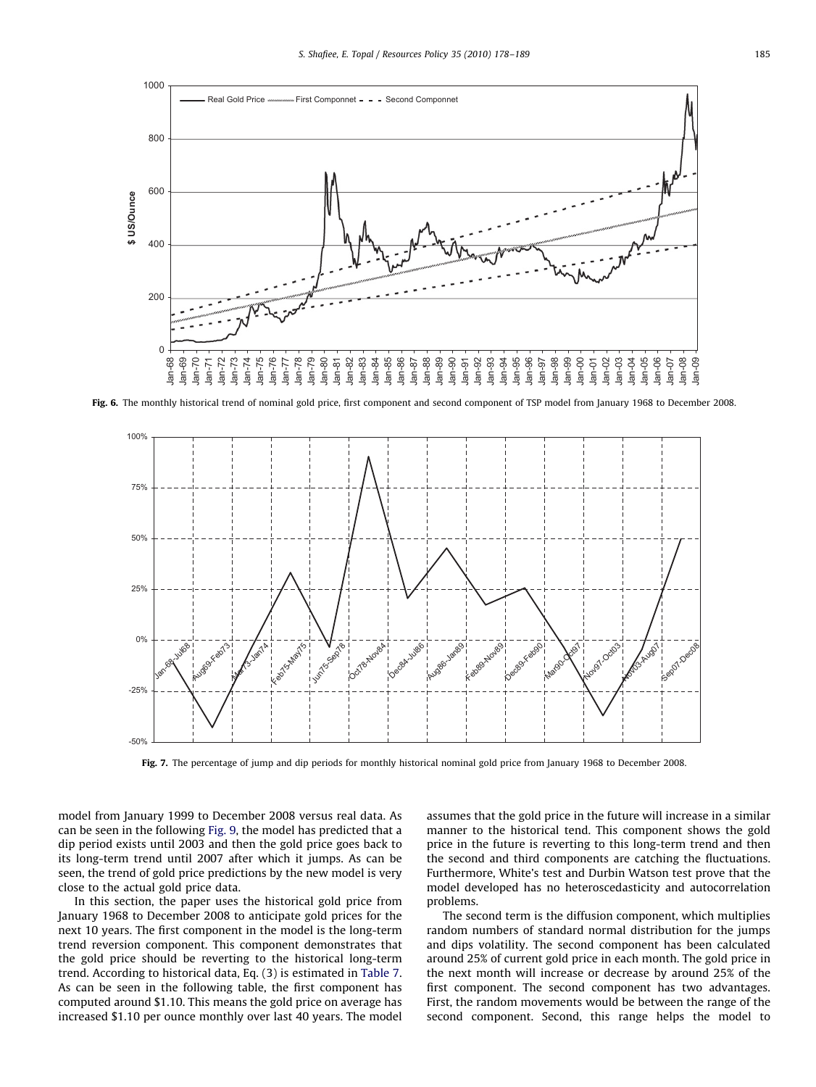<span id="page-7-0"></span>

Fig. 6. The monthly historical trend of nominal gold price, first component and second component of TSP model from January 1968 to December 2008.



Fig. 7. The percentage of jump and dip periods for monthly historical nominal gold price from January 1968 to December 2008.

model from January 1999 to December 2008 versus real data. As can be seen in the following [Fig. 9](#page-9-0), the model has predicted that a dip period exists until 2003 and then the gold price goes back to its long-term trend until 2007 after which it jumps. As can be seen, the trend of gold price predictions by the new model is very close to the actual gold price data.

In this section, the paper uses the historical gold price from January 1968 to December 2008 to anticipate gold prices for the next 10 years. The first component in the model is the long-term trend reversion component. This component demonstrates that the gold price should be reverting to the historical long-term trend. According to historical data, Eq. (3) is estimated in [Table 7.](#page-9-0) As can be seen in the following table, the first component has computed around \$1.10. This means the gold price on average has increased \$1.10 per ounce monthly over last 40 years. The model assumes that the gold price in the future will increase in a similar manner to the historical tend. This component shows the gold price in the future is reverting to this long-term trend and then the second and third components are catching the fluctuations. Furthermore, White's test and Durbin Watson test prove that the model developed has no heteroscedasticity and autocorrelation problems.

The second term is the diffusion component, which multiplies random numbers of standard normal distribution for the jumps and dips volatility. The second component has been calculated around 25% of current gold price in each month. The gold price in the next month will increase or decrease by around 25% of the first component. The second component has two advantages. First, the random movements would be between the range of the second component. Second, this range helps the model to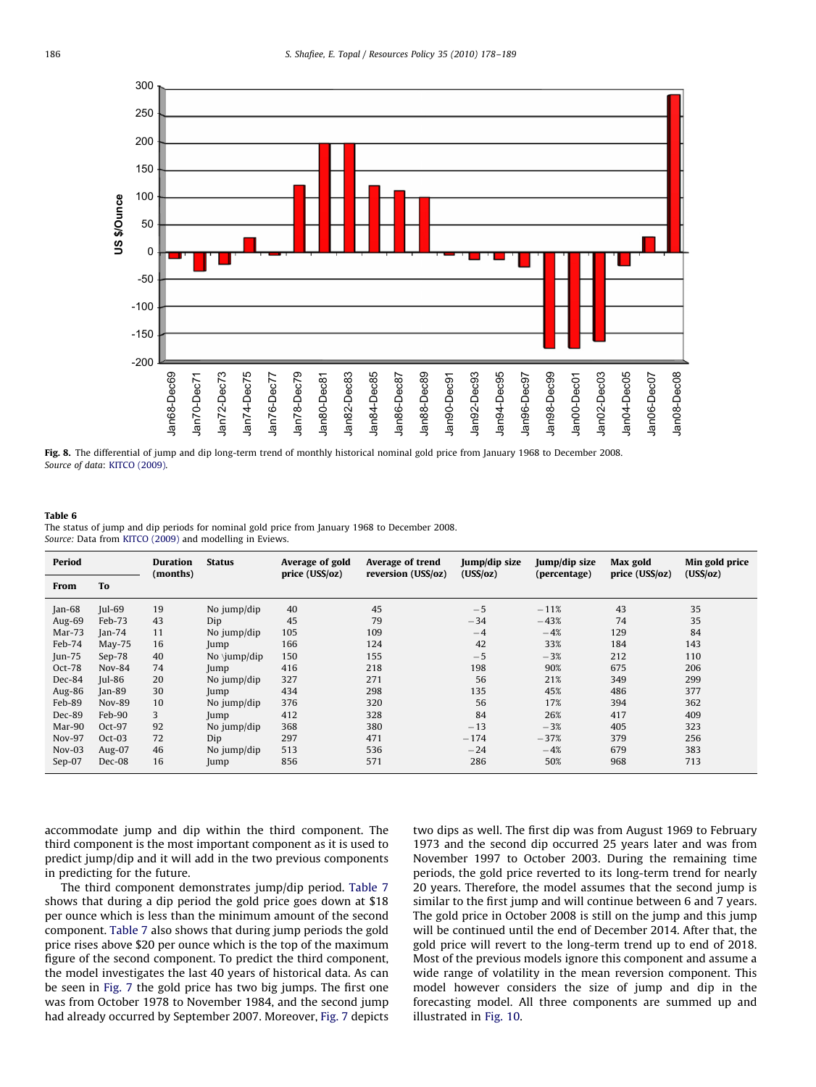<span id="page-8-0"></span>![](_page_8_Figure_2.jpeg)

![](_page_8_Figure_3.jpeg)

The status of jump and dip periods for nominal gold price from January 1968 to December 2008. Source: Data from [KITCO \(2009\)](#page-10-0) and modelling in Eviews.

| Period   |               | <b>Duration</b><br>(months) | <b>Status</b>      | Average of gold<br>price (US\$/oz) | Average of trend<br>reversion (US\$/oz) | Jump/dip size<br>(USS/oz) | Jump/dip size<br>(percentage) | Max gold<br>price (US\$/oz) | Min gold price<br>(USS/oz) |
|----------|---------------|-----------------------------|--------------------|------------------------------------|-----------------------------------------|---------------------------|-------------------------------|-----------------------------|----------------------------|
| From     | To            |                             |                    |                                    |                                         |                           |                               |                             |                            |
| $Jan-68$ | $ ul-69$      | 19                          | No jump/dip        | 40                                 | 45                                      | $-5$                      | $-11%$                        | 43                          | 35                         |
| Aug-69   | Feb-73        | 43                          | Dip                | 45                                 | 79                                      | $-34$                     | $-43%$                        | 74                          | 35                         |
| Mar-73   | $Jan-74$      | 11                          | No jump/dip        | 105                                | 109                                     | $-4$                      | $-4%$                         | 129                         | 84                         |
| Feb-74   | $Mav-75$      | 16                          | Jump               | 166                                | 124                                     | 42                        | 33%                           | 184                         | 143                        |
| $ un-75$ | Sep-78        | 40                          | No $\sum_{\alpha}$ | 150                                | 155                                     | $-5$                      | $-3%$                         | 212                         | 110                        |
| Oct-78   | <b>Nov-84</b> | 74                          | Jump               | 416                                | 218                                     | 198                       | 90%                           | 675                         | 206                        |
| Dec-84   | $ ul-86$      | 20                          | No jump/dip        | 327                                | 271                                     | 56                        | 21%                           | 349                         | 299                        |
| Aug-86   | $Jan-89$      | 30                          | Jump               | 434                                | 298                                     | 135                       | 45%                           | 486                         | 377                        |
| Feb-89   | <b>Nov-89</b> | 10                          | No jump/dip        | 376                                | 320                                     | 56                        | 17%                           | 394                         | 362                        |
| Dec-89   | Feb-90        | 3                           | Jump               | 412                                | 328                                     | 84                        | 26%                           | 417                         | 409                        |
| Mar-90   | Oct-97        | 92                          | No jump/dip        | 368                                | 380                                     | $-13$                     | $-3%$                         | 405                         | 323                        |
| Nov-97   | $Oct-03$      | 72                          | Dip                | 297                                | 471                                     | $-174$                    | $-37%$                        | 379                         | 256                        |
| $Nov-03$ | Aug-07        | 46                          | No jump/dip        | 513                                | 536                                     | $-24$                     | $-4%$                         | 679                         | 383                        |
| Sep-07   | Dec-08        | 16                          | Jump               | 856                                | 571                                     | 286                       | 50%                           | 968                         | 713                        |

accommodate jump and dip within the third component. The third component is the most important component as it is used to predict jump/dip and it will add in the two previous components in predicting for the future.

The third component demonstrates jump/dip period. [Table 7](#page-9-0) shows that during a dip period the gold price goes down at \$18 per ounce which is less than the minimum amount of the second component. [Table 7](#page-9-0) also shows that during jump periods the gold price rises above \$20 per ounce which is the top of the maximum figure of the second component. To predict the third component, the model investigates the last 40 years of historical data. As can be seen in [Fig. 7](#page-7-0) the gold price has two big jumps. The first one was from October 1978 to November 1984, and the second jump had already occurred by September 2007. Moreover, [Fig. 7](#page-7-0) depicts two dips as well. The first dip was from August 1969 to February 1973 and the second dip occurred 25 years later and was from November 1997 to October 2003. During the remaining time periods, the gold price reverted to its long-term trend for nearly 20 years. Therefore, the model assumes that the second jump is similar to the first jump and will continue between 6 and 7 years. The gold price in October 2008 is still on the jump and this jump will be continued until the end of December 2014. After that, the gold price will revert to the long-term trend up to end of 2018. Most of the previous models ignore this component and assume a wide range of volatility in the mean reversion component. This model however considers the size of jump and dip in the forecasting model. All three components are summed up and illustrated in [Fig. 10.](#page-9-0)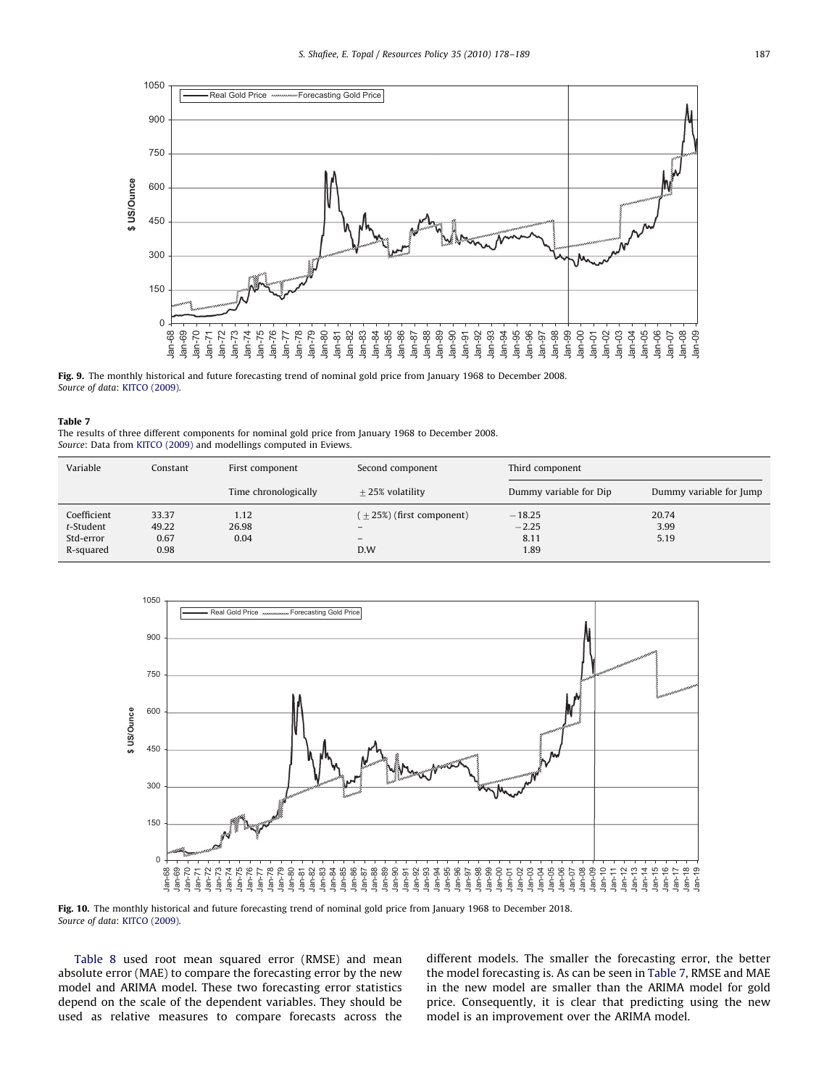<span id="page-9-0"></span>![](_page_9_Figure_1.jpeg)

Fig. 9. The monthly historical and future forecasting trend of nominal gold price from January 1968 to December 2008. Source of data: [KITCO \(2009\).](#page-10-0)

The results of three different components for nominal gold price from January 1968 to December 2008. Source: Data from [KITCO \(2009\)](#page-10-0) and modellings computed in Eviews.

| Variable                                           | Constant                       | First component       | Second component                                                               | Third component                     |                         |
|----------------------------------------------------|--------------------------------|-----------------------|--------------------------------------------------------------------------------|-------------------------------------|-------------------------|
|                                                    |                                | Time chronologically  | $+25\%$ volatility                                                             | Dummy variable for Dip              | Dummy variable for Jump |
| Coefficient<br>t-Student<br>Std-error<br>R-squared | 33.37<br>49.22<br>0.67<br>0.98 | 1.12<br>26.98<br>0.04 | $(\pm 25%)$ (first component)<br>$\qquad \qquad -$<br>$\qquad \qquad -$<br>D.W | $-18.25$<br>$-2.25$<br>8.11<br>1.89 | 20.74<br>3.99<br>5.19   |

![](_page_9_Figure_6.jpeg)

Fig. 10. The monthly historical and future forecasting trend of nominal gold price from January 1968 to December 2018. Source of data: [KITCO \(2009\).](#page-10-0)

[Table 8](#page-10-0) used root mean squared error (RMSE) and mean absolute error (MAE) to compare the forecasting error by the new model and ARIMA model. These two forecasting error statistics depend on the scale of the dependent variables. They should be used as relative measures to compare forecasts across the different models. The smaller the forecasting error, the better the model forecasting is. As can be seen in Table 7, RMSE and MAE in the new model are smaller than the ARIMA model for gold price. Consequently, it is clear that predicting using the new model is an improvement over the ARIMA model.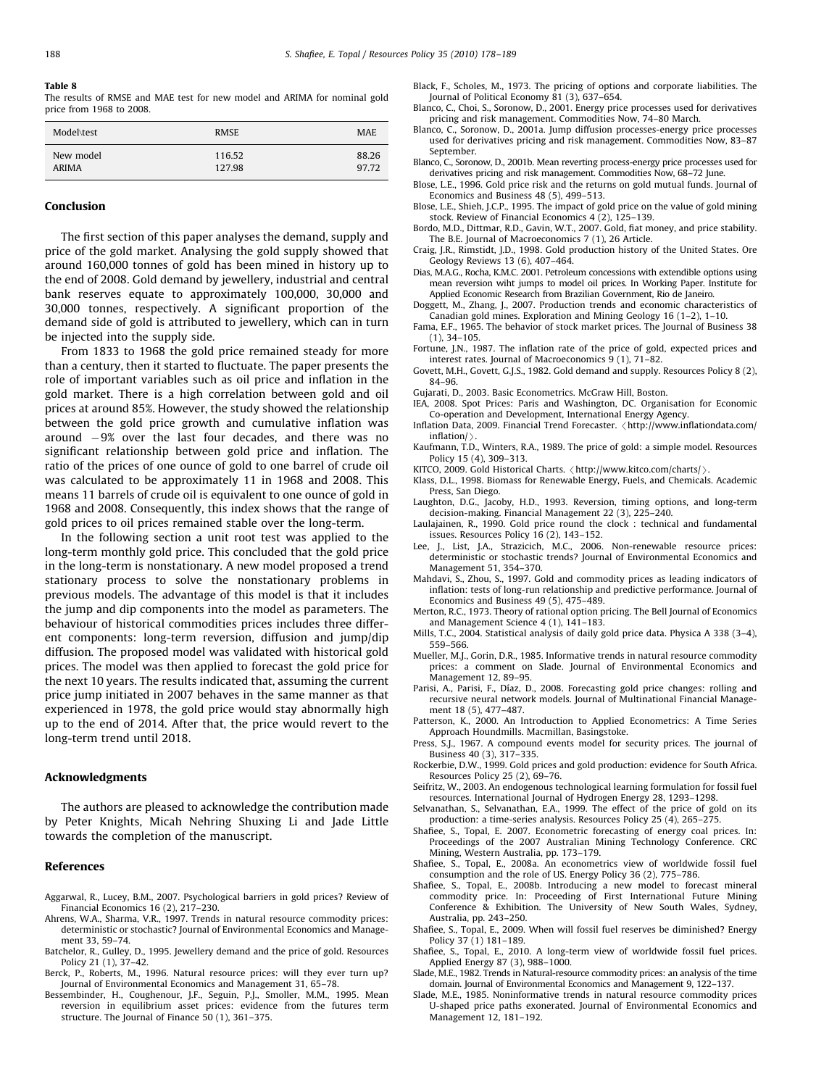<span id="page-10-0"></span>The results of RMSE and MAE test for new model and ARIMA for nominal gold price from 1968 to 2008.

| Model\test | <b>RMSE</b> | <b>MAE</b> |
|------------|-------------|------------|
| New model  | 116.52      | 88.26      |
| ARIMA      | 127.98      | 97.72      |

#### Conclusion

The first section of this paper analyses the demand, supply and price of the gold market. Analysing the gold supply showed that around 160,000 tonnes of gold has been mined in history up to the end of 2008. Gold demand by jewellery, industrial and central bank reserves equate to approximately 100,000, 30,000 and 30,000 tonnes, respectively. A significant proportion of the demand side of gold is attributed to jewellery, which can in turn be injected into the supply side.

From 1833 to 1968 the gold price remained steady for more than a century, then it started to fluctuate. The paper presents the role of important variables such as oil price and inflation in the gold market. There is a high correlation between gold and oil prices at around 85%. However, the study showed the relationship between the gold price growth and cumulative inflation was around -9% over the last four decades, and there was no significant relationship between gold price and inflation. The ratio of the prices of one ounce of gold to one barrel of crude oil was calculated to be approximately 11 in 1968 and 2008. This means 11 barrels of crude oil is equivalent to one ounce of gold in 1968 and 2008. Consequently, this index shows that the range of gold prices to oil prices remained stable over the long-term.

In the following section a unit root test was applied to the long-term monthly gold price. This concluded that the gold price in the long-term is nonstationary. A new model proposed a trend stationary process to solve the nonstationary problems in previous models. The advantage of this model is that it includes the jump and dip components into the model as parameters. The behaviour of historical commodities prices includes three different components: long-term reversion, diffusion and jump/dip diffusion. The proposed model was validated with historical gold prices. The model was then applied to forecast the gold price for the next 10 years. The results indicated that, assuming the current price jump initiated in 2007 behaves in the same manner as that experienced in 1978, the gold price would stay abnormally high up to the end of 2014. After that, the price would revert to the long-term trend until 2018.

#### Acknowledgments

The authors are pleased to acknowledge the contribution made by Peter Knights, Micah Nehring Shuxing Li and Jade Little towards the completion of the manuscript.

#### References

- Aggarwal, R., Lucey, B.M., 2007. Psychological barriers in gold prices? Review of Financial Economics 16 (2), 217–230.
- Ahrens, W.A., Sharma, V.R., 1997. Trends in natural resource commodity prices: deterministic or stochastic? Journal of Environmental Economics and Management 33, 59–74.
- Batchelor, R., Gulley, D., 1995. Jewellery demand and the price of gold. Resources Policy 21 (1), 37–42.
- Berck, P., Roberts, M., 1996. Natural resource prices: will they ever turn up? Journal of Environmental Economics and Management 31, 65–78.
- Bessembinder, H., Coughenour, J.F., Seguin, P.J., Smoller, M.M., 1995. Mean reversion in equilibrium asset prices: evidence from the futures term structure. The Journal of Finance 50 (1), 361–375.
- Black, F., Scholes, M., 1973. The pricing of options and corporate liabilities. The Journal of Political Economy 81 (3), 637–654.
- Blanco, C., Choi, S., Soronow, D., 2001. Energy price processes used for derivatives pricing and risk management. Commodities Now, 74–80 March.
- Blanco, C., Soronow, D., 2001a. Jump diffusion processes-energy price processes used for derivatives pricing and risk management. Commodities Now, 83–87 September.
- Blanco, C., Soronow, D., 2001b. Mean reverting process-energy price processes used for derivatives pricing and risk management. Commodities Now, 68-72 June.
- Blose, L.E., 1996. Gold price risk and the returns on gold mutual funds. Journal of Economics and Business 48 (5), 499–513.
- Blose, L.E., Shieh, J.C.P., 1995. The impact of gold price on the value of gold mining stock. Review of Financial Economics 4 (2), 125–139.
- Bordo, M.D., Dittmar, R.D., Gavin, W.T., 2007. Gold, fiat money, and price stability. The B.E. Journal of Macroeconomics 7 (1), 26 Article.
- Craig, J.R., Rimstidt, J.D., 1998. Gold production history of the United States. Ore Geology Reviews 13 (6), 407–464.
- Dias, M.A.G., Rocha, K.M.C. 2001. Petroleum concessions with extendible options using mean reversion wiht jumps to model oil prices. In Working Paper. Institute for Applied Economic Research from Brazilian Government, Rio de Janeiro.
- Doggett, M., Zhang, J., 2007. Production trends and economic characteristics of Canadian gold mines. Exploration and Mining Geology 16 (1–2), 1–10.
- Fama, E.F., 1965. The behavior of stock market prices. The Journal of Business 38  $(1), 34-105.$
- Fortune, J.N., 1987. The inflation rate of the price of gold, expected prices and interest rates. Journal of Macroeconomics 9 (1), 71–82.
- Govett, M.H., Govett, G.J.S., 1982. Gold demand and supply. Resources Policy 8 (2), 84–96.
- Gujarati, D., 2003. Basic Econometrics. McGraw Hill, Boston.
- IEA, 2008. Spot Prices: Paris and Washington, DC. Organisation for Economic Co-operation and Development, International Energy Agency.
- Inflation Data, 2009. Financial Trend Forecaster.  $\langle$ [http://www.inflationdata.com/](http://www.inflationdata.com/inflation/)<br>inflation/ $\rangle$ .
- [inflation/](http://www.inflationdata.com/inflation/)>.<br>Kaufmann, T.D., Winters, R.A., 1989. The price of gold: a simple model. Resources Policy 15 (4), 309–313.
- KITCO, 2009. Gold Historical Charts. <<http://www.kitco.com/charts/>>
- Klass, D.L., 1998. Biomass for Renewable Energy, Fuels, and Chemicals. Academic Press, San Diego.
- Laughton, D.G., Jacoby, H.D., 1993. Reversion, timing options, and long-term decision-making. Financial Management 22 (3), 225–240.
- Laulajainen, R., 1990. Gold price round the clock : technical and fundamental issues. Resources Policy 16 (2), 143–152.
- Lee, J., List, J.A., Strazicich, M.C., 2006. Non-renewable resource prices: deterministic or stochastic trends? Journal of Environmental Economics and Management 51, 354–370.
- Mahdavi, S., Zhou, S., 1997. Gold and commodity prices as leading indicators of inflation: tests of long-run relationship and predictive performance. Journal of Economics and Business 49 (5), 475–489.
- Merton, R.C., 1973. Theory of rational option pricing. The Bell Journal of Economics and Management Science 4 (1), 141–183.
- Mills, T.C., 2004. Statistical analysis of daily gold price data. Physica A 338 (3–4), 559–566.
- Mueller, M.J., Gorin, D.R., 1985. Informative trends in natural resource commodity prices: a comment on Slade. Journal of Environmental Economics and Management 12, 89–95.
- Parisi, A., Parisi, F., Díaz, D., 2008. Forecasting gold price changes: rolling and recursive neural network models. Journal of Multinational Financial Management 18 (5), 477–487.
- Patterson, K., 2000. An Introduction to Applied Econometrics: A Time Series Approach Houndmills. Macmillan, Basingstoke.
- Press, S.J., 1967. A compound events model for security prices. The journal of Business 40 (3), 317–335.
- Rockerbie, D.W., 1999. Gold prices and gold production: evidence for South Africa. Resources Policy 25 (2), 69–76.
- Seifritz, W., 2003. An endogenous technological learning formulation for fossil fuel resources. International Journal of Hydrogen Energy 28, 1293–1298.
- Selvanathan, S., Selvanathan, E.A., 1999. The effect of the price of gold on its production: a time-series analysis. Resources Policy 25 (4), 265–275.
- Shafiee, S., Topal, E. 2007. Econometric forecasting of energy coal prices. In: Proceedings of the 2007 Australian Mining Technology Conference. CRC Mining, Western Australia, pp. 173–179.
- Shafiee, S., Topal, E., 2008a. An econometrics view of worldwide fossil fuel consumption and the role of US. Energy Policy 36 (2), 775–786.
- Shafiee, S., Topal, E., 2008b. Introducing a new model to forecast mineral commodity price. In: Proceeding of First International Future Mining Conference & Exhibition. The University of New South Wales, Sydney, Australia, pp. 243–250.
- Shafiee, S., Topal, E., 2009. When will fossil fuel reserves be diminished? Energy Policy 37 (1) 181–189.
- Shafiee, S., Topal, E., 2010. A long-term view of worldwide fossil fuel prices. Applied Energy 87 (3), 988–1000.
- Slade, M.E., 1982. Trends in Natural-resource commodity prices: an analysis of the time domain. Journal of Environmental Economics and Management 9, 122–137.
- Slade, M.E., 1985. Noninformative trends in natural resource commodity prices U-shaped price paths exonerated. Journal of Environmental Economics and Management 12, 181–192.